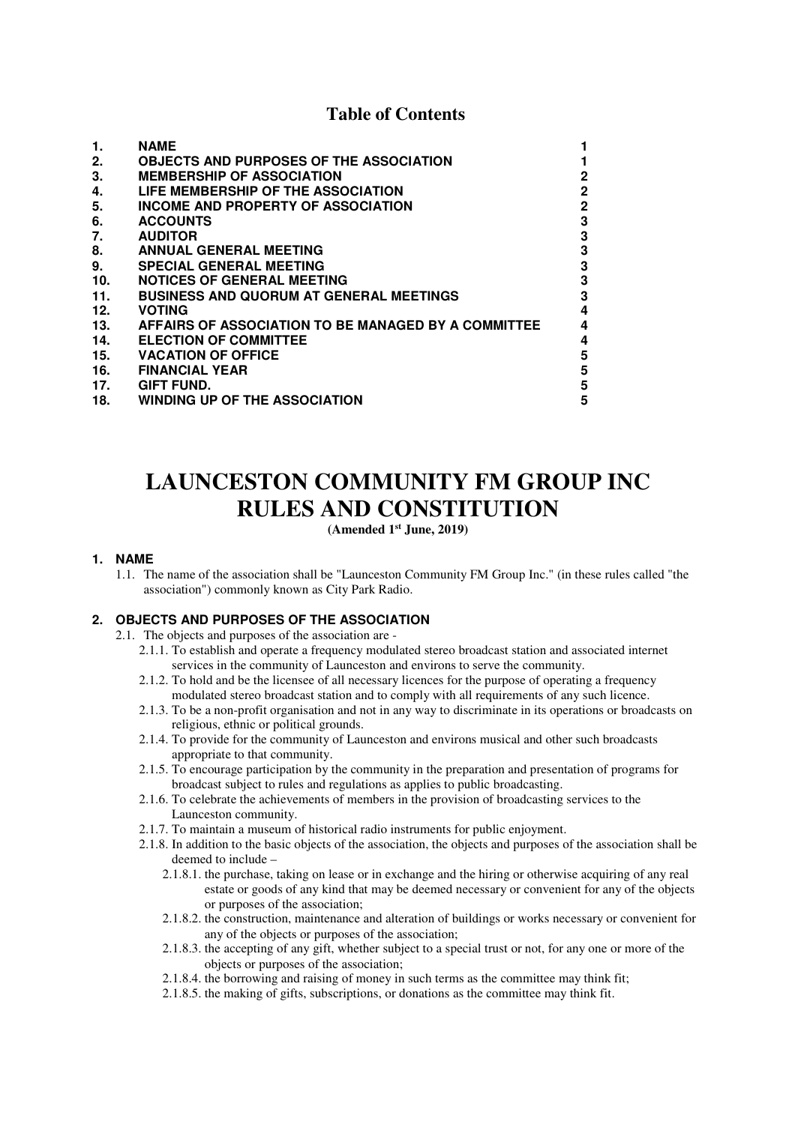# **Table of Contents**

| 1.  | <b>NAME</b>                                         |                |
|-----|-----------------------------------------------------|----------------|
| 2.  | <b>OBJECTS AND PURPOSES OF THE ASSOCIATION</b>      |                |
| 3.  | <b>MEMBERSHIP OF ASSOCIATION</b>                    | $\overline{2}$ |
| 4.  | LIFE MEMBERSHIP OF THE ASSOCIATION                  | $\overline{2}$ |
| 5.  | INCOME AND PROPERTY OF ASSOCIATION                  | $\overline{2}$ |
| 6.  | <b>ACCOUNTS</b>                                     | 3              |
| 7.  | <b>AUDITOR</b>                                      | 3              |
| 8.  | <b>ANNUAL GENERAL MEETING</b>                       | 3              |
| 9.  | <b>SPECIAL GENERAL MEETING</b>                      | 3              |
| 10. | <b>NOTICES OF GENERAL MEETING</b>                   | 3              |
| 11. | <b>BUSINESS AND QUORUM AT GENERAL MEETINGS</b>      | 3              |
| 12. | <b>VOTING</b>                                       | 4              |
| 13. | AFFAIRS OF ASSOCIATION TO BE MANAGED BY A COMMITTEE | 4              |
| 14. | <b>ELECTION OF COMMITTEE</b>                        | 4              |
| 15. | <b>VACATION OF OFFICE</b>                           | 5              |
| 16. | <b>FINANCIAL YEAR</b>                               | 5              |
| 17. | GIFT FUND.                                          | 5              |
| 18. | <b>WINDING UP OF THE ASSOCIATION</b>                | 5              |

# **LAUNCESTON COMMUNITY FM GROUP INC RULES AND CONSTITUTION**

## **(Amended 1st June, 2019)**

#### **1. NAME**

1.1. The name of the association shall be "Launceston Community FM Group Inc." (in these rules called "the association") commonly known as City Park Radio.

# **2. OBJECTS AND PURPOSES OF THE ASSOCIATION**

2.1. The objects and purposes of the association are -

- 2.1.1. To establish and operate a frequency modulated stereo broadcast station and associated internet services in the community of Launceston and environs to serve the community.
- 2.1.2. To hold and be the licensee of all necessary licences for the purpose of operating a frequency modulated stereo broadcast station and to comply with all requirements of any such licence.
- 2.1.3. To be a non-profit organisation and not in any way to discriminate in its operations or broadcasts on religious, ethnic or political grounds.
- 2.1.4. To provide for the community of Launceston and environs musical and other such broadcasts appropriate to that community.
- 2.1.5. To encourage participation by the community in the preparation and presentation of programs for broadcast subject to rules and regulations as applies to public broadcasting.
- 2.1.6. To celebrate the achievements of members in the provision of broadcasting services to the Launceston community.
- 2.1.7. To maintain a museum of historical radio instruments for public enjoyment.
- 2.1.8. In addition to the basic objects of the association, the objects and purposes of the association shall be deemed to include –
	- 2.1.8.1. the purchase, taking on lease or in exchange and the hiring or otherwise acquiring of any real estate or goods of any kind that may be deemed necessary or convenient for any of the objects or purposes of the association;
	- 2.1.8.2. the construction, maintenance and alteration of buildings or works necessary or convenient for any of the objects or purposes of the association;
	- 2.1.8.3. the accepting of any gift, whether subject to a special trust or not, for any one or more of the objects or purposes of the association;
	- 2.1.8.4. the borrowing and raising of money in such terms as the committee may think fit;
	- 2.1.8.5. the making of gifts, subscriptions, or donations as the committee may think fit.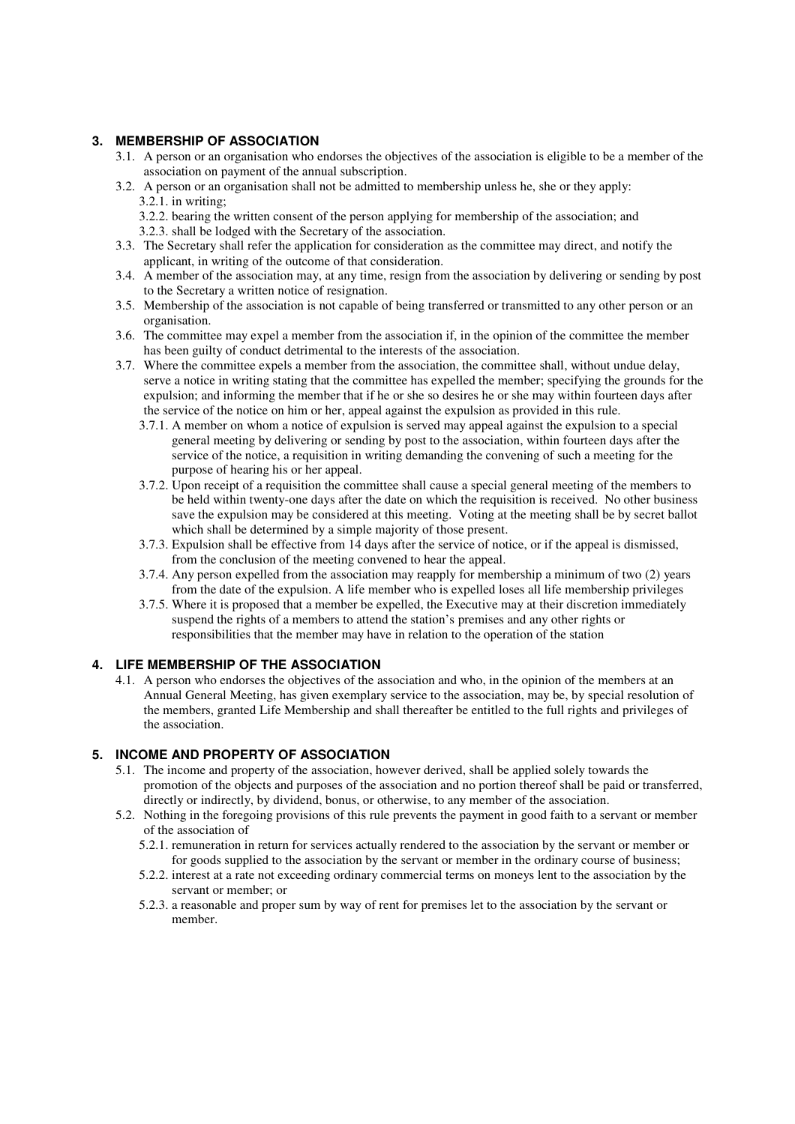# **3. MEMBERSHIP OF ASSOCIATION**

- 3.1. A person or an organisation who endorses the objectives of the association is eligible to be a member of the association on payment of the annual subscription.
- 3.2. A person or an organisation shall not be admitted to membership unless he, she or they apply: 3.2.1. in writing;
	- 3.2.2. bearing the written consent of the person applying for membership of the association; and
	- 3.2.3. shall be lodged with the Secretary of the association.
- 3.3. The Secretary shall refer the application for consideration as the committee may direct, and notify the applicant, in writing of the outcome of that consideration.
- 3.4. A member of the association may, at any time, resign from the association by delivering or sending by post to the Secretary a written notice of resignation.
- 3.5. Membership of the association is not capable of being transferred or transmitted to any other person or an organisation.
- 3.6. The committee may expel a member from the association if, in the opinion of the committee the member has been guilty of conduct detrimental to the interests of the association.
- 3.7. Where the committee expels a member from the association, the committee shall, without undue delay, serve a notice in writing stating that the committee has expelled the member; specifying the grounds for the expulsion; and informing the member that if he or she so desires he or she may within fourteen days after the service of the notice on him or her, appeal against the expulsion as provided in this rule.
	- 3.7.1. A member on whom a notice of expulsion is served may appeal against the expulsion to a special general meeting by delivering or sending by post to the association, within fourteen days after the service of the notice, a requisition in writing demanding the convening of such a meeting for the purpose of hearing his or her appeal.
	- 3.7.2. Upon receipt of a requisition the committee shall cause a special general meeting of the members to be held within twenty-one days after the date on which the requisition is received. No other business save the expulsion may be considered at this meeting. Voting at the meeting shall be by secret ballot which shall be determined by a simple majority of those present.
	- 3.7.3. Expulsion shall be effective from 14 days after the service of notice, or if the appeal is dismissed, from the conclusion of the meeting convened to hear the appeal.
	- 3.7.4. Any person expelled from the association may reapply for membership a minimum of two (2) years from the date of the expulsion. A life member who is expelled loses all life membership privileges
	- 3.7.5. Where it is proposed that a member be expelled, the Executive may at their discretion immediately suspend the rights of a members to attend the station's premises and any other rights or responsibilities that the member may have in relation to the operation of the station

## **4. LIFE MEMBERSHIP OF THE ASSOCIATION**

4.1. A person who endorses the objectives of the association and who, in the opinion of the members at an Annual General Meeting, has given exemplary service to the association, may be, by special resolution of the members, granted Life Membership and shall thereafter be entitled to the full rights and privileges of the association.

### **5. INCOME AND PROPERTY OF ASSOCIATION**

- 5.1. The income and property of the association, however derived, shall be applied solely towards the promotion of the objects and purposes of the association and no portion thereof shall be paid or transferred, directly or indirectly, by dividend, bonus, or otherwise, to any member of the association.
- 5.2. Nothing in the foregoing provisions of this rule prevents the payment in good faith to a servant or member of the association of
	- 5.2.1. remuneration in return for services actually rendered to the association by the servant or member or for goods supplied to the association by the servant or member in the ordinary course of business;
	- 5.2.2. interest at a rate not exceeding ordinary commercial terms on moneys lent to the association by the servant or member; or
	- 5.2.3. a reasonable and proper sum by way of rent for premises let to the association by the servant or member.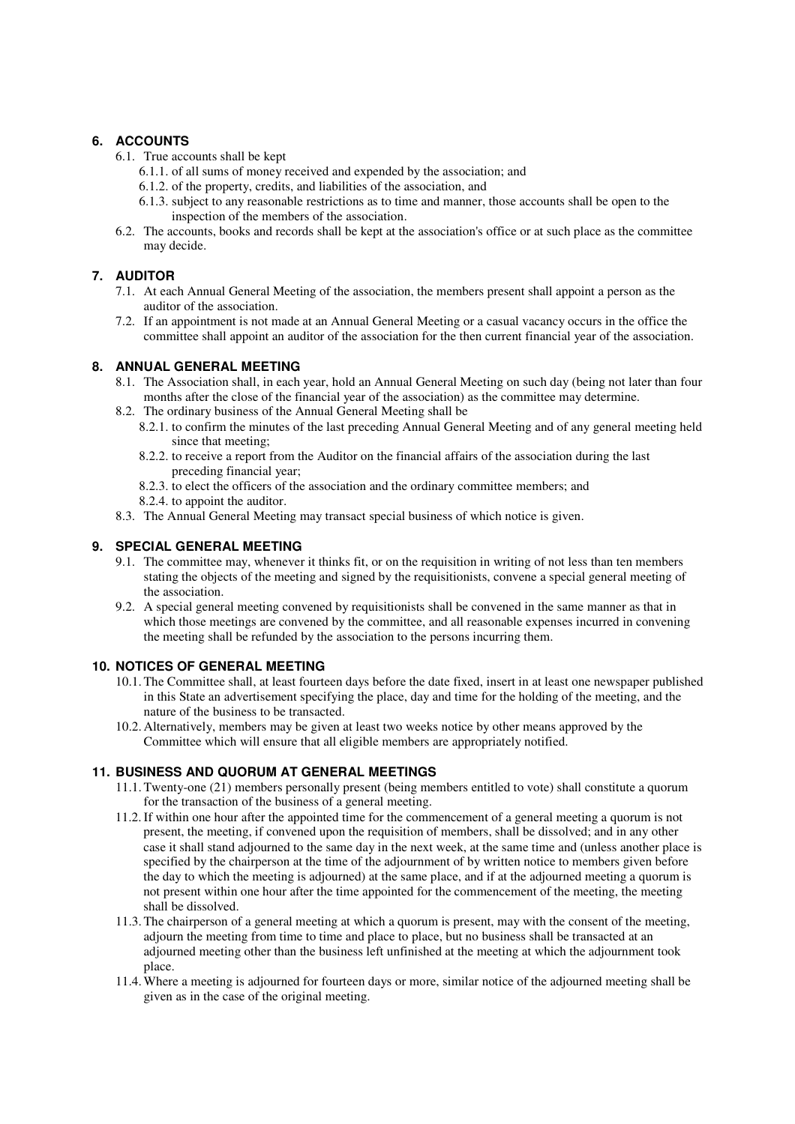# **6. ACCOUNTS**

- 6.1. True accounts shall be kept
	- 6.1.1. of all sums of money received and expended by the association; and
	- 6.1.2. of the property, credits, and liabilities of the association, and
	- 6.1.3. subject to any reasonable restrictions as to time and manner, those accounts shall be open to the inspection of the members of the association.
- 6.2. The accounts, books and records shall be kept at the association's office or at such place as the committee may decide.

## **7. AUDITOR**

- 7.1. At each Annual General Meeting of the association, the members present shall appoint a person as the auditor of the association.
- 7.2. If an appointment is not made at an Annual General Meeting or a casual vacancy occurs in the office the committee shall appoint an auditor of the association for the then current financial year of the association.

#### **8. ANNUAL GENERAL MEETING**

- 8.1. The Association shall, in each year, hold an Annual General Meeting on such day (being not later than four months after the close of the financial year of the association) as the committee may determine.
- 8.2. The ordinary business of the Annual General Meeting shall be
	- 8.2.1. to confirm the minutes of the last preceding Annual General Meeting and of any general meeting held since that meeting;
	- 8.2.2. to receive a report from the Auditor on the financial affairs of the association during the last preceding financial year;
	- 8.2.3. to elect the officers of the association and the ordinary committee members; and
	- 8.2.4. to appoint the auditor.
- 8.3. The Annual General Meeting may transact special business of which notice is given.

## **9. SPECIAL GENERAL MEETING**

- 9.1. The committee may, whenever it thinks fit, or on the requisition in writing of not less than ten members stating the objects of the meeting and signed by the requisitionists, convene a special general meeting of the association.
- 9.2. A special general meeting convened by requisitionists shall be convened in the same manner as that in which those meetings are convened by the committee, and all reasonable expenses incurred in convening the meeting shall be refunded by the association to the persons incurring them.

#### **10. NOTICES OF GENERAL MEETING**

- 10.1.The Committee shall, at least fourteen days before the date fixed, insert in at least one newspaper published in this State an advertisement specifying the place, day and time for the holding of the meeting, and the nature of the business to be transacted.
- 10.2. Alternatively, members may be given at least two weeks notice by other means approved by the Committee which will ensure that all eligible members are appropriately notified.

#### **11. BUSINESS AND QUORUM AT GENERAL MEETINGS**

- 11.1.Twenty-one (21) members personally present (being members entitled to vote) shall constitute a quorum for the transaction of the business of a general meeting.
- 11.2.If within one hour after the appointed time for the commencement of a general meeting a quorum is not present, the meeting, if convened upon the requisition of members, shall be dissolved; and in any other case it shall stand adjourned to the same day in the next week, at the same time and (unless another place is specified by the chairperson at the time of the adjournment of by written notice to members given before the day to which the meeting is adjourned) at the same place, and if at the adjourned meeting a quorum is not present within one hour after the time appointed for the commencement of the meeting, the meeting shall be dissolved.
- 11.3.The chairperson of a general meeting at which a quorum is present, may with the consent of the meeting, adjourn the meeting from time to time and place to place, but no business shall be transacted at an adjourned meeting other than the business left unfinished at the meeting at which the adjournment took place.
- 11.4.Where a meeting is adjourned for fourteen days or more, similar notice of the adjourned meeting shall be given as in the case of the original meeting.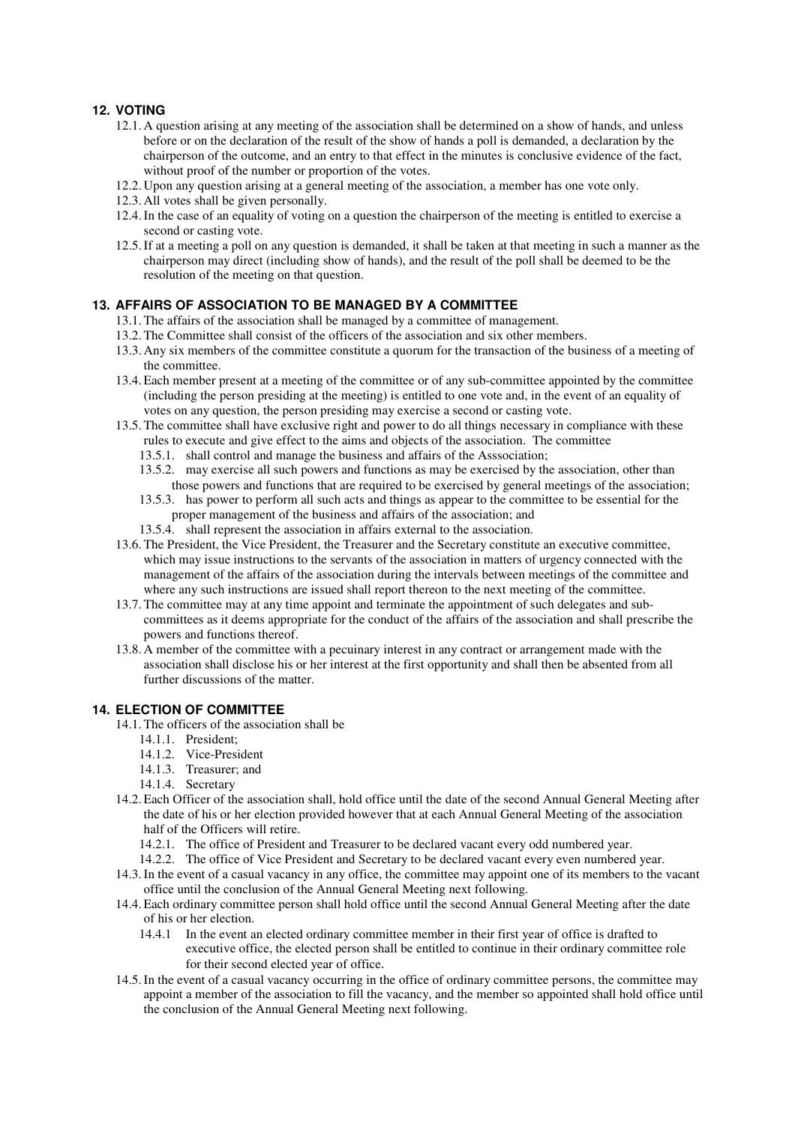# **12. VOTING**

- 12.1. A question arising at any meeting of the association shall be determined on a show of hands, and unless before or on the declaration of the result of the show of hands a poll is demanded, a declaration by the chairperson of the outcome, and an entry to that effect in the minutes is conclusive evidence of the fact, without proof of the number or proportion of the votes.
- 12.2. Upon any question arising at a general meeting of the association, a member has one vote only.
- 12.3. All votes shall be given personally.
- 12.4.In the case of an equality of voting on a question the chairperson of the meeting is entitled to exercise a second or casting vote.
- 12.5.If at a meeting a poll on any question is demanded, it shall be taken at that meeting in such a manner as the chairperson may direct (including show of hands), and the result of the poll shall be deemed to be the resolution of the meeting on that question.

# **13. AFFAIRS OF ASSOCIATION TO BE MANAGED BY A COMMITTEE**

- 13.1.The affairs of the association shall be managed by a committee of management.
- 13.2.The Committee shall consist of the officers of the association and six other members.
- 13.3. Any six members of the committee constitute a quorum for the transaction of the business of a meeting of the committee.
- 13.4.Each member present at a meeting of the committee or of any sub-committee appointed by the committee (including the person presiding at the meeting) is entitled to one vote and, in the event of an equality of votes on any question, the person presiding may exercise a second or casting vote.
- 13.5.The committee shall have exclusive right and power to do all things necessary in compliance with these rules to execute and give effect to the aims and objects of the association. The committee
	- 13.5.1. shall control and manage the business and affairs of the Asssociation;
	- 13.5.2. may exercise all such powers and functions as may be exercised by the association, other than those powers and functions that are required to be exercised by general meetings of the association;
	- 13.5.3. has power to perform all such acts and things as appear to the committee to be essential for the proper management of the business and affairs of the association; and
	- 13.5.4. shall represent the association in affairs external to the association.
- 13.6.The President, the Vice President, the Treasurer and the Secretary constitute an executive committee, which may issue instructions to the servants of the association in matters of urgency connected with the management of the affairs of the association during the intervals between meetings of the committee and where any such instructions are issued shall report thereon to the next meeting of the committee.
- 13.7.The committee may at any time appoint and terminate the appointment of such delegates and subcommittees as it deems appropriate for the conduct of the affairs of the association and shall prescribe the powers and functions thereof.
- 13.8. A member of the committee with a pecuinary interest in any contract or arrangement made with the association shall disclose his or her interest at the first opportunity and shall then be absented from all further discussions of the matter.

# **14. ELECTION OF COMMITTEE**

- 14.1.The officers of the association shall be
	- 14.1.1. President;
	- 14.1.2. Vice-President
	- 14.1.3. Treasurer; and
	- 14.1.4. Secretary
- 14.2.Each Officer of the association shall, hold office until the date of the second Annual General Meeting after the date of his or her election provided however that at each Annual General Meeting of the association half of the Officers will retire.
	- 14.2.1. The office of President and Treasurer to be declared vacant every odd numbered year.
	- 14.2.2. The office of Vice President and Secretary to be declared vacant every even numbered year.
- 14.3.In the event of a casual vacancy in any office, the committee may appoint one of its members to the vacant office until the conclusion of the Annual General Meeting next following.
- 14.4.Each ordinary committee person shall hold office until the second Annual General Meeting after the date of his or her election.
	- 14.4.1 In the event an elected ordinary committee member in their first year of office is drafted to executive office, the elected person shall be entitled to continue in their ordinary committee role for their second elected year of office.
- 14.5.In the event of a casual vacancy occurring in the office of ordinary committee persons, the committee may appoint a member of the association to fill the vacancy, and the member so appointed shall hold office until the conclusion of the Annual General Meeting next following.